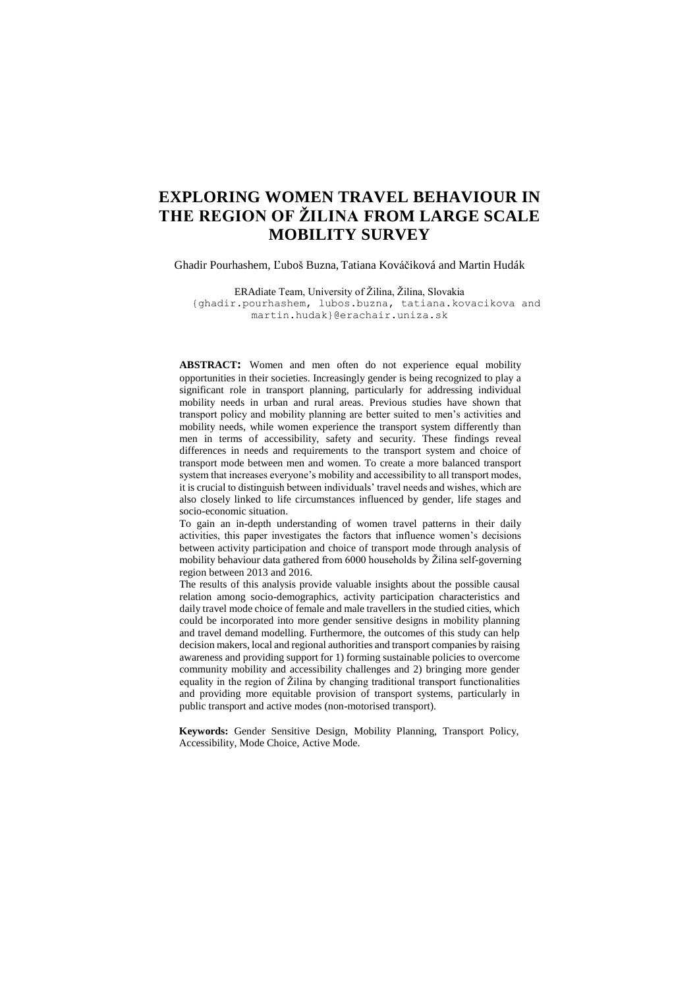# **EXPLORING WOMEN TRAVEL BEHAVIOUR IN THE REGION OF ŽILINA FROM LARGE SCALE MOBILITY SURVEY**

#### Ghadir Pourhashem, Ľuboš Buzna, Tatiana Kováčiková and Martin Hudák

ERAdiate Team, University of Žilina, Žilina, Slovakia {ghadir.pourhashem, lubos.buzna, tatiana.kovacikova and martin.huda[k}@erachair.uniza.sk](mailto:%7d@erachair.uniza.sk)

**ABSTRACT:** Women and men often do not experience equal mobility opportunities in their societies. Increasingly gender is being recognized to play a significant role in transport planning, particularly for addressing individual mobility needs in urban and rural areas. Previous studies have shown that transport policy and mobility planning are better suited to men's activities and mobility needs, while women experience the transport system differently than men in terms of accessibility, safety and security. These findings reveal differences in needs and requirements to the transport system and choice of transport mode between men and women. To create a more balanced transport system that increases everyone's mobility and accessibility to all transport modes, it is crucial to distinguish between individuals' travel needs and wishes, which are also closely linked to life circumstances influenced by gender, life stages and socio-economic situation.

To gain an in-depth understanding of women travel patterns in their daily activities, this paper investigates the factors that influence women's decisions between activity participation and choice of transport mode through analysis of mobility behaviour data gathered from 6000 households by Žilina self-governing region between 2013 and 2016.

The results of this analysis provide valuable insights about the possible causal relation among socio-demographics, activity participation characteristics and daily travel mode choice of female and male travellers in the studied cities, which could be incorporated into more gender sensitive designs in mobility planning and travel demand modelling. Furthermore, the outcomes of this study can help decision makers, local and regional authorities and transport companies by raising awareness and providing support for 1) forming sustainable policies to overcome community mobility and accessibility challenges and 2) bringing more gender equality in the region of Žilina by changing traditional transport functionalities and providing more equitable provision of transport systems, particularly in public transport and active modes (non-motorised transport).

**Keywords:** Gender Sensitive Design, Mobility Planning, Transport Policy, Accessibility, Mode Choice, Active Mode.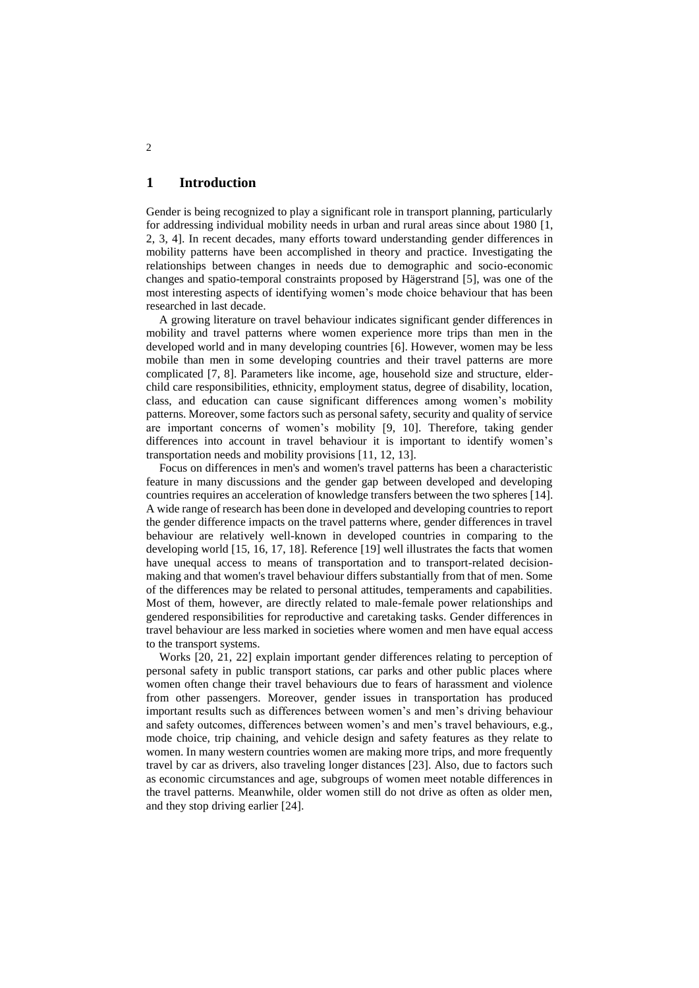# **1 Introduction**

Gender is being recognized to play a significant role in transport planning, particularly for addressing individual mobility needs in urban and rural areas since about 1980 [1, 2, 3, 4]. In recent decades, many efforts toward understanding gender differences in mobility patterns have been accomplished in theory and practice. Investigating the relationships between changes in needs due to demographic and socio-economic changes and spatio-temporal constraints proposed by Hägerstrand [5], was one of the most interesting aspects of identifying women's mode choice behaviour that has been researched in last decade.

A growing literature on travel behaviour indicates significant gender differences in mobility and travel patterns where women experience more trips than men in the developed world and in many developing countries [6]. However, women may be less mobile than men in some developing countries and their travel patterns are more complicated [7, 8]. Parameters like income, age, household size and structure, elderchild care responsibilities, ethnicity, employment status, degree of disability, location, class, and education can cause significant differences among women's mobility patterns. Moreover, some factors such as personal safety, security and quality of service are important concerns of women's mobility [9, 10]. Therefore, taking gender differences into account in travel behaviour it is important to identify women's transportation needs and mobility provisions [11, 12, 13].

Focus on differences in men's and women's travel patterns has been a characteristic feature in many discussions and the gender gap between developed and developing countries requires an acceleration of knowledge transfers between the two spheres [14]. A wide range of research has been done in developed and developing countries to report the gender difference impacts on the travel patterns where, gender differences in travel behaviour are relatively well-known in developed countries in comparing to the developing world [15, 16, 17, 18]. Reference [19] well illustrates the facts that women have unequal access to means of transportation and to transport-related decisionmaking and that women's travel behaviour differs substantially from that of men. Some of the differences may be related to personal attitudes, temperaments and capabilities. Most of them, however, are directly related to male-female power relationships and gendered responsibilities for reproductive and caretaking tasks. Gender differences in travel behaviour are less marked in societies where women and men have equal access to the transport systems.

Works [20, 21, 22] explain important gender differences relating to perception of personal safety in public transport stations, car parks and other public places where women often change their travel behaviours due to fears of harassment and violence from other passengers. Moreover, gender issues in transportation has produced important results such as differences between women's and men's driving behaviour and safety outcomes, differences between women's and men's travel behaviours, e.g., mode choice, trip chaining, and vehicle design and safety features as they relate to women. In many western countries women are making more trips, and more frequently travel by car as drivers, also traveling longer distances [23]. Also, due to factors such as economic circumstances and age, subgroups of women meet notable differences in the travel patterns. Meanwhile, older women still do not drive as often as older men, and they stop driving earlier [24].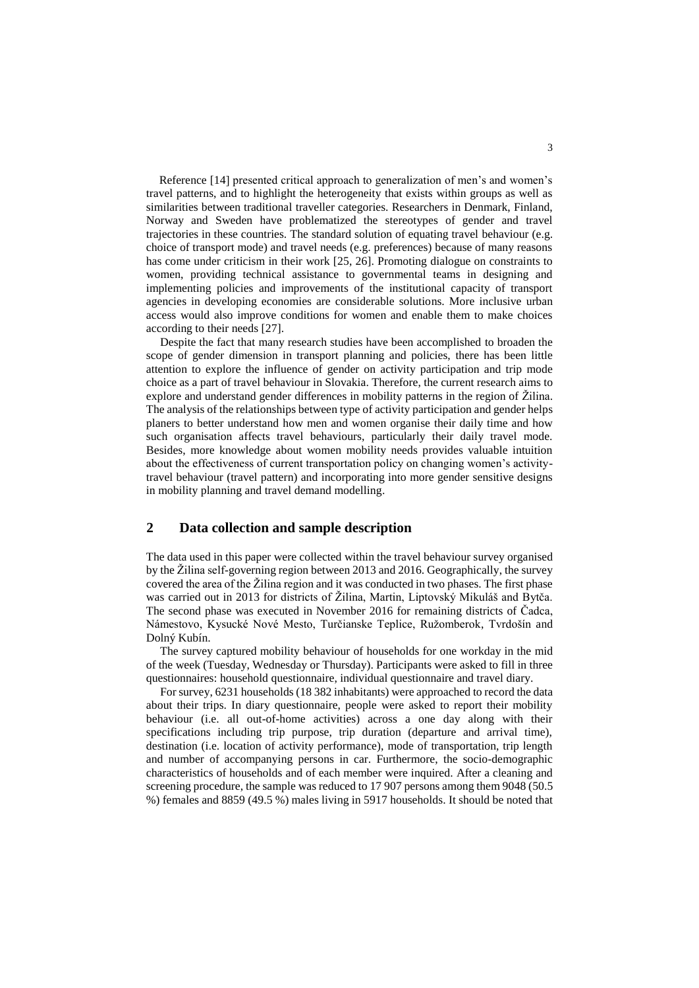Reference [14] presented critical approach to generalization of men's and women's travel patterns, and to highlight the heterogeneity that exists within groups as well as similarities between traditional traveller categories. Researchers in Denmark, Finland, Norway and Sweden have problematized the stereotypes of gender and travel trajectories in these countries. The standard solution of equating travel behaviour (e.g. choice of transport mode) and travel needs (e.g. preferences) because of many reasons has come under criticism in their work [25, 26]. Promoting dialogue on constraints to women, providing technical assistance to governmental teams in designing and implementing policies and improvements of the institutional capacity of transport agencies in developing economies are considerable solutions. More inclusive urban access would also improve conditions for women and enable them to make choices according to their needs [27].

Despite the fact that many research studies have been accomplished to broaden the scope of gender dimension in transport planning and policies, there has been little attention to explore the influence of gender on activity participation and trip mode choice as a part of travel behaviour in Slovakia. Therefore, the current research aims to explore and understand gender differences in mobility patterns in the region of Žilina. The analysis of the relationships between type of activity participation and gender helps planers to better understand how men and women organise their daily time and how such organisation affects travel behaviours, particularly their daily travel mode. Besides, more knowledge about women mobility needs provides valuable intuition about the effectiveness of current transportation policy on changing women's activitytravel behaviour (travel pattern) and incorporating into more gender sensitive designs in mobility planning and travel demand modelling.

# **2 Data collection and sample description**

The data used in this paper were collected within the travel behaviour survey organised by the Žilina self-governing region between 2013 and 2016. Geographically, the survey covered the area of the Žilina region and it was conducted in two phases. The first phase was carried out in 2013 for districts of Žilina, Martin, Liptovský Mikuláš and Bytča. The second phase was executed in November 2016 for remaining districts of Čadca, Námestovo, Kysucké Nové Mesto, Turčianske Teplice, Ružomberok, Tvrdošín and Dolný Kubín.

The survey captured mobility behaviour of households for one workday in the mid of the week (Tuesday, Wednesday or Thursday). Participants were asked to fill in three questionnaires: household questionnaire, individual questionnaire and travel diary.

For survey, 6231 households (18 382 inhabitants) were approached to record the data about their trips. In diary questionnaire, people were asked to report their mobility behaviour (i.e. all out-of-home activities) across a one day along with their specifications including trip purpose, trip duration (departure and arrival time), destination (i.e. location of activity performance), mode of transportation, trip length and number of accompanying persons in car. Furthermore, the socio-demographic characteristics of households and of each member were inquired. After a cleaning and screening procedure, the sample was reduced to 17 907 persons among them 9048 (50.5 %) females and 8859 (49.5 %) males living in 5917 households. It should be noted that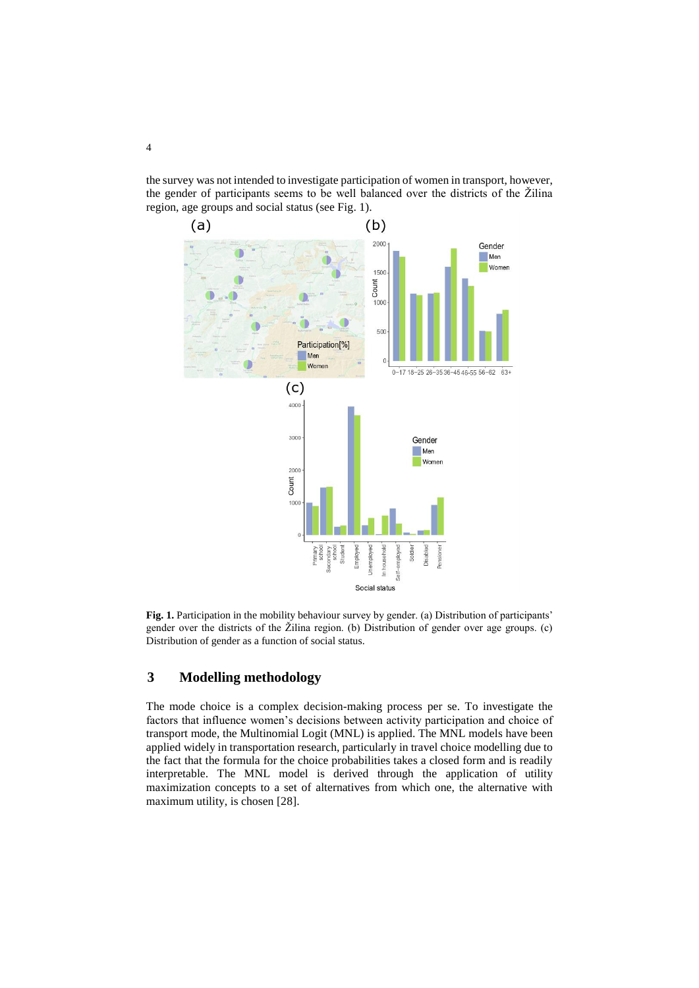the survey was not intended to investigate participation of women in transport, however, the gender of participants seems to be well balanced over the districts of the Žilina region, age groups and social status (see Fig. 1).



**Fig. 1.** Participation in the mobility behaviour survey by gender. (a) Distribution of participants' gender over the districts of the Žilina region. (b) Distribution of gender over age groups. (c) Distribution of gender as a function of social status.

# **3 Modelling methodology**

The mode choice is a complex decision-making process per se. To investigate the factors that influence women's decisions between activity participation and choice of transport mode, the Multinomial Logit (MNL) is applied. The MNL models have been applied widely in transportation research, particularly in travel choice modelling due to the fact that the formula for the choice probabilities takes a closed form and is readily interpretable. The MNL model is derived through the application of utility maximization concepts to a set of alternatives from which one, the alternative with maximum utility, is chosen [28].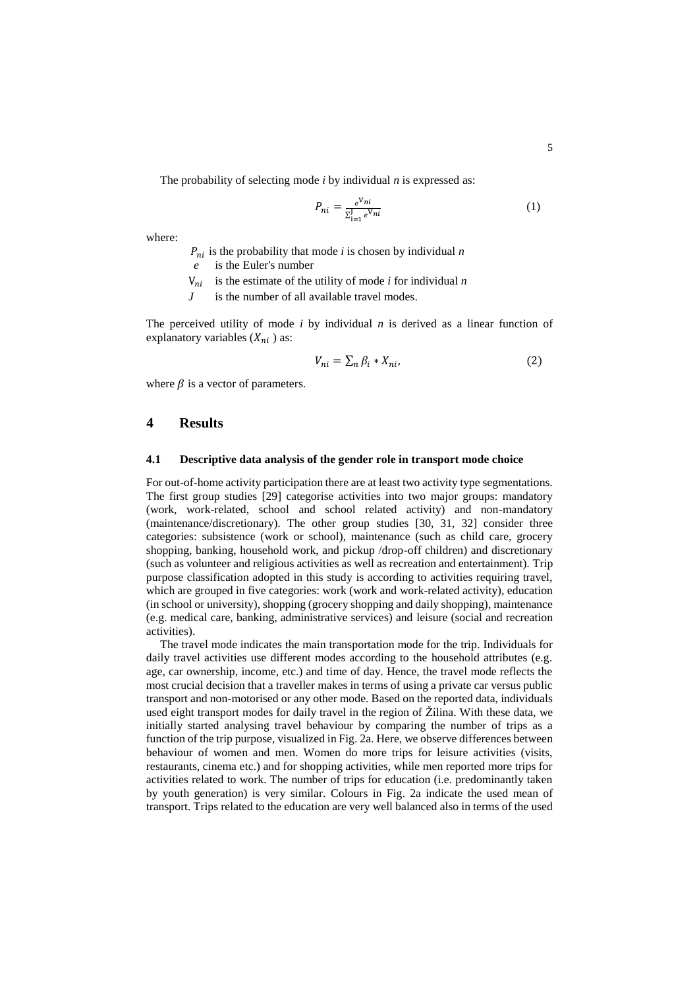The probability of selecting mode *i* by individual *n* is expressed as:

$$
P_{ni} = \frac{e^{V_{ni}}}{\sum_{i=1}^{J} e^{V_{ni}}} \tag{1}
$$

where:

 $P_{ni}$  is the probability that mode *i* is chosen by individual *n* 

- *e* is the Euler's number
- $V_{ni}$  is the estimate of the utility of mode *i* for individual *n*
- *J* is the number of all available travel modes.

The perceived utility of mode *i* by individual *n* is derived as a linear function of explanatory variables  $(X_{ni})$  as:

$$
V_{ni} = \sum_{n} \beta_i * X_{ni}, \qquad (2)
$$

where  $\beta$  is a vector of parameters.

## **4 Results**

#### **4.1 Descriptive data analysis of the gender role in transport mode choice**

For out-of-home activity participation there are at least two activity type segmentations. The first group studies [29] categorise activities into two major groups: mandatory (work, work-related, school and school related activity) and non-mandatory (maintenance/discretionary). The other group studies [30, 31, 32] consider three categories: subsistence (work or school), maintenance (such as child care, grocery shopping, banking, household work, and pickup /drop-off children) and discretionary (such as volunteer and religious activities as well as recreation and entertainment). Trip purpose classification adopted in this study is according to activities requiring travel, which are grouped in five categories: work (work and work-related activity), education (in school or university), shopping (grocery shopping and daily shopping), maintenance (e.g. medical care, banking, administrative services) and leisure (social and recreation activities).

The travel mode indicates the main transportation mode for the trip. Individuals for daily travel activities use different modes according to the household attributes (e.g. age, car ownership, income, etc.) and time of day. Hence, the travel mode reflects the most crucial decision that a traveller makes in terms of using a private car versus public transport and non-motorised or any other mode. Based on the reported data, individuals used eight transport modes for daily travel in the region of Žilina. With these data, we initially started analysing travel behaviour by comparing the number of trips as a function of the trip purpose, visualized in Fig. 2a. Here, we observe differences between behaviour of women and men. Women do more trips for leisure activities (visits, restaurants, cinema etc.) and for shopping activities, while men reported more trips for activities related to work. The number of trips for education (i.e. predominantly taken by youth generation) is very similar. Colours in Fig. 2a indicate the used mean of transport. Trips related to the education are very well balanced also in terms of the used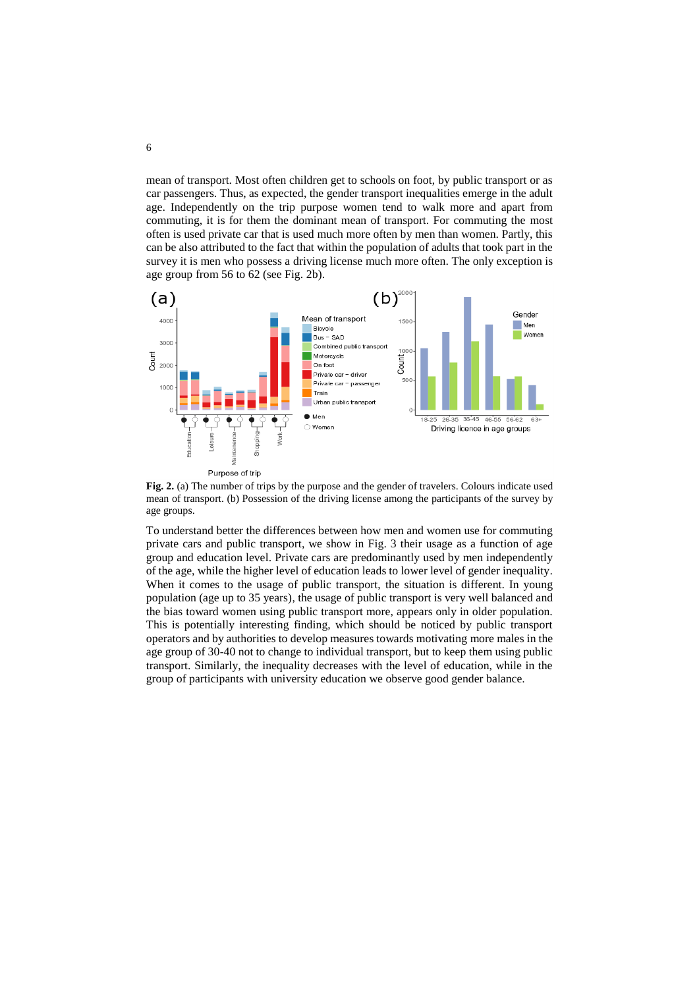mean of transport. Most often children get to schools on foot, by public transport or as car passengers. Thus, as expected, the gender transport inequalities emerge in the adult age. Independently on the trip purpose women tend to walk more and apart from commuting, it is for them the dominant mean of transport. For commuting the most often is used private car that is used much more often by men than women. Partly, this can be also attributed to the fact that within the population of adults that took part in the survey it is men who possess a driving license much more often. The only exception is age group from 56 to 62 (see Fig. 2b).



**Fig. 2.** (a) The number of trips by the purpose and the gender of travelers. Colours indicate used mean of transport. (b) Possession of the driving license among the participants of the survey by age groups.

To understand better the differences between how men and women use for commuting private cars and public transport, we show in Fig. 3 their usage as a function of age group and education level. Private cars are predominantly used by men independently of the age, while the higher level of education leads to lower level of gender inequality. When it comes to the usage of public transport, the situation is different. In young population (age up to 35 years), the usage of public transport is very well balanced and the bias toward women using public transport more, appears only in older population. This is potentially interesting finding, which should be noticed by public transport operators and by authorities to develop measures towards motivating more males in the age group of 30-40 not to change to individual transport, but to keep them using public transport. Similarly, the inequality decreases with the level of education, while in the group of participants with university education we observe good gender balance.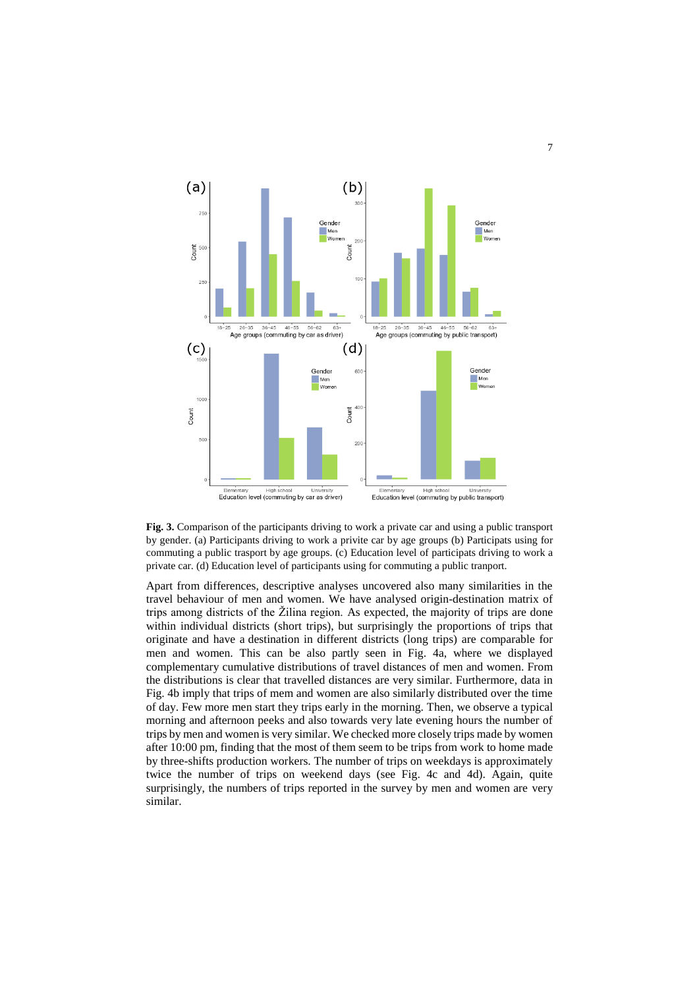

**Fig. 3.** Comparison of the participants driving to work a private car and using a public transport by gender. (a) Participants driving to work a privite car by age groups (b) Participats using for commuting a public trasport by age groups. (c) Education level of participats driving to work a private car. (d) Education level of participants using for commuting a public tranport.

Apart from differences, descriptive analyses uncovered also many similarities in the travel behaviour of men and women. We have analysed origin-destination matrix of trips among districts of the Žilina region. As expected, the majority of trips are done within individual districts (short trips), but surprisingly the proportions of trips that originate and have a destination in different districts (long trips) are comparable for men and women. This can be also partly seen in Fig. 4a, where we displayed complementary cumulative distributions of travel distances of men and women. From the distributions is clear that travelled distances are very similar. Furthermore, data in Fig. 4b imply that trips of mem and women are also similarly distributed over the time of day. Few more men start they trips early in the morning. Then, we observe a typical morning and afternoon peeks and also towards very late evening hours the number of trips by men and women is very similar. We checked more closely trips made by women after 10:00 pm, finding that the most of them seem to be trips from work to home made by three-shifts production workers. The number of trips on weekdays is approximately twice the number of trips on weekend days (see Fig. 4c and 4d). Again, quite surprisingly, the numbers of trips reported in the survey by men and women are very similar.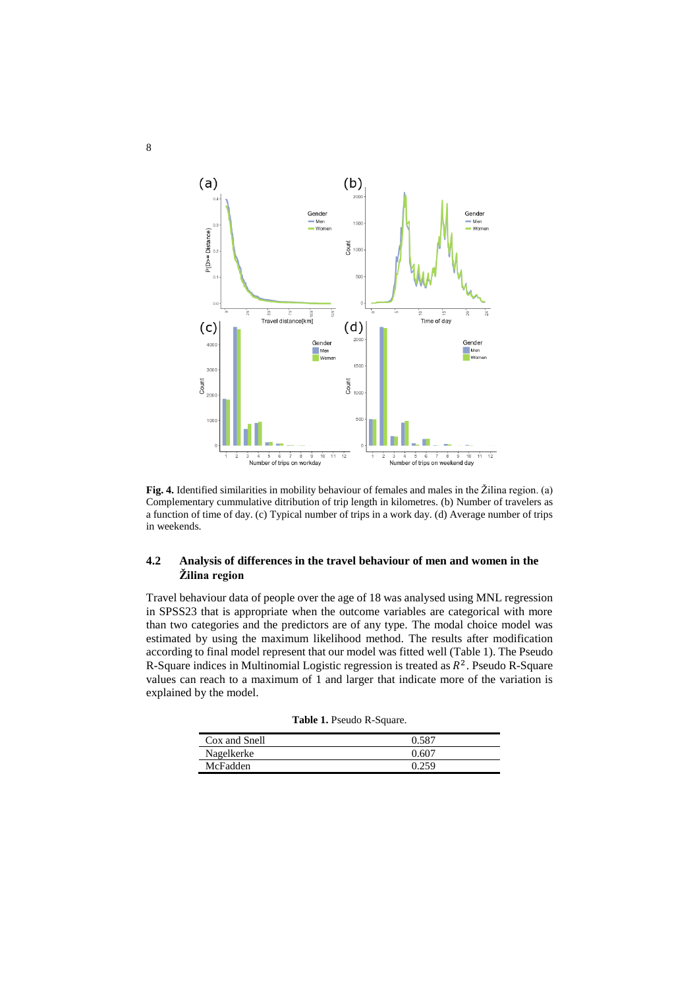

**Fig. 4.** Identified similarities in mobility behaviour of females and males in the Žilina region. (a) Complementary cummulative ditribution of trip length in kilometres. (b) Number of travelers as a function of time of day. (c) Typical number of trips in a work day. (d) Average number of trips in weekends.

# **4.2 Analysis of differences in the travel behaviour of men and women in the Žilina region**

Travel behaviour data of people over the age of 18 was analysed using MNL regression in SPSS23 that is appropriate when the outcome variables are categorical with more than two categories and the predictors are of any type. The modal choice model was estimated by using the maximum likelihood method. The results after modification according to final model represent that our model was fitted well (Table 1). The Pseudo R-Square indices in Multinomial Logistic regression is treated as  $R^2$ . Pseudo R-Square values can reach to a maximum of 1 and larger that indicate more of the variation is explained by the model.

|  |  |  | <b>Table 1.</b> Pseudo R-Square. |
|--|--|--|----------------------------------|
|--|--|--|----------------------------------|

| Cox and Snell | 0.587 |
|---------------|-------|
| Nagelkerke    | በ 607 |
| McFadden      | 0.259 |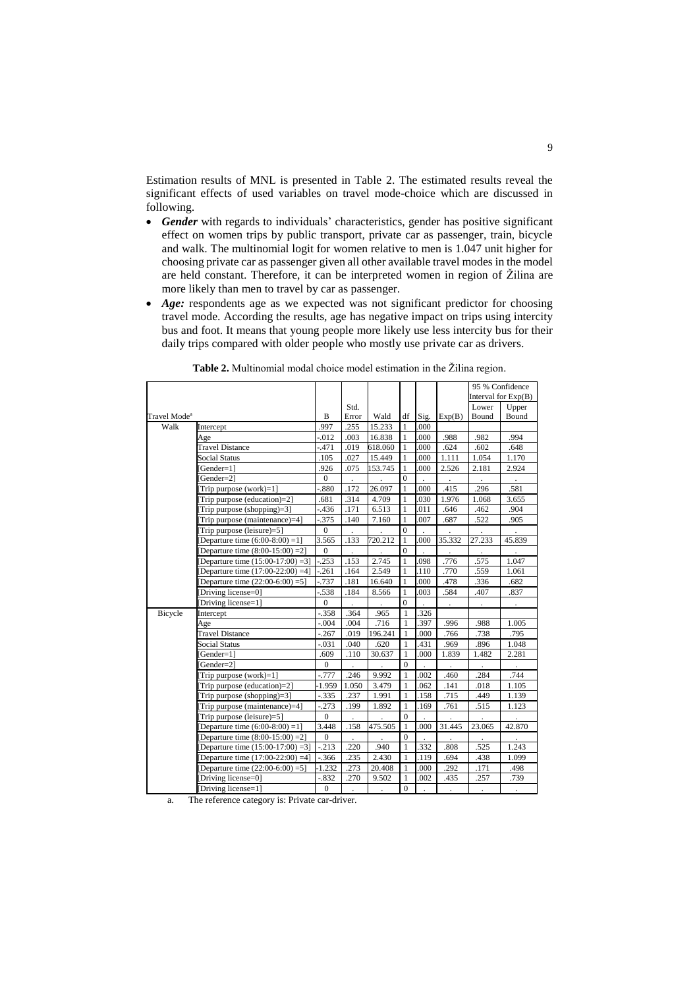Estimation results of MNL is presented in Table 2. The estimated results reveal the significant effects of used variables on travel mode-choice which are discussed in following.

- *Gender* with regards to individuals' characteristics, gender has positive significant effect on women trips by public transport, private car as passenger, train, bicycle and walk. The multinomial logit for women relative to men is 1.047 unit higher for choosing private car as passenger given all other available travel modes in the model are held constant. Therefore, it can be interpreted women in region of Žilina are more likely than men to travel by car as passenger.
- *Age:* respondents age as we expected was not significant predictor for choosing travel mode. According the results, age has negative impact on trips using intercity bus and foot. It means that young people more likely use less intercity bus for their daily trips compared with older people who mostly use private car as drivers.

|                          |                                    |                  |                      |         |                |      |         | 95 % Confidence |                       |
|--------------------------|------------------------------------|------------------|----------------------|---------|----------------|------|---------|-----------------|-----------------------|
|                          |                                    |                  |                      |         |                |      |         |                 | Interval for $Exp(B)$ |
|                          |                                    |                  | Std.                 |         |                |      |         | Lower           | Upper                 |
| Travel Mode <sup>a</sup> |                                    | B                | Error                | Wald    | df             | Sig. | Exp(B)  | Bound           | Bound                 |
| Walk                     | Intercept                          | .997             | .255                 | 15.233  | $\mathbf{1}$   | .000 |         |                 |                       |
|                          | Age                                | -.012            | .003                 | 16.838  | 1              | .000 | .988    | .982            | .994                  |
|                          | <b>Travel Distance</b>             | $-471$           | .019                 | 618.060 | 1              | 000  | .624    | .602            | .648                  |
|                          | <b>Social Status</b>               | .105             | .027                 | 15.449  | 1              | .000 | 1.111   | 1.054           | 1.170                 |
|                          | Gender=1]                          | .926             | .075                 | 153.745 | 1              | .000 | 2.526   | 2.181           | 2.924                 |
|                          | Gender=21                          | $\overline{0}$   |                      |         | $\overline{0}$ |      | $\cdot$ | $\cdot$         | $\cdot$               |
|                          | Trip purpose $(wordk)=1$ ]         | $-880$           | .172                 | 26.097  | 1              | 000  | .415    | 296             | .581                  |
|                          | Trip purpose (education)=2]        | .681             | .314                 | 4.709   | $\mathbf{1}$   | .030 | 1.976   | 1.068           | 3.655                 |
|                          | Trip purpose (shopping)=3]         | $-436$           | .171                 | 6.513   | 1              | .011 | .646    | .462            | .904                  |
|                          | Trip purpose (maintenance)=4]      | $-375$           | .140                 | 7.160   | $\mathbf{1}$   | 007  | .687    | .522            | .905                  |
|                          | Trip purpose (leisure)=5]          | $\boldsymbol{0}$ |                      |         | $\overline{0}$ |      |         |                 |                       |
|                          | Departure time $(6:00-8:00) = 1$   | 3.565            | .133                 | 720.212 | 1              | 000  | 35.332  | 27.233          | 45.839                |
|                          | Departure time $(8:00-15:00) = 2$  | $\mathbf{0}$     | $\ddot{\phantom{0}}$ |         | $\overline{0}$ |      |         |                 |                       |
|                          | Departure time $(15:00-17:00) = 3$ | $-253$           | .153                 | 2.745   | 1              | 098  | .776    | .575            | 1.047                 |
|                          | Departure time $(17:00-22:00) = 4$ | $-261$           | .164                 | 2.549   | 1              | 110  | .770    | .559            | 1.061                 |
|                          | Departure time $(22:00-6:00) = 5$  | $-737$           | .181                 | 16.640  | 1              | .000 | 478     | .336            | .682                  |
|                          | Driving license=0]                 | $-538$           | .184                 | 8.566   | 1              | 003  | .584    | .407            | .837                  |
|                          | Driving license=1]                 | $\mathbf{0}$     |                      |         | $\overline{0}$ |      |         |                 |                       |
| <b>Bicycle</b>           | Intercept                          | $-.358$          | .364                 | .965    | 1              | .326 |         |                 |                       |
|                          | Age                                | $-.004$          | .004                 | .716    | 1              | .397 | .996    | .988            | 1.005                 |
|                          | <b>Travel Distance</b>             | $-.267$          | .019                 | 196.241 | 1              | .000 | .766    | .738            | .795                  |
|                          | <b>Social Status</b>               | $-.031$          | .040                 | .620    | 1              | .431 | .969    | .896            | 1.048                 |
|                          | $Gender=11$                        | .609             | .110                 | 30.637  | 1              | .000 | 1.839   | 1.482           | 2.281                 |
|                          | Gender=21                          | $\boldsymbol{0}$ |                      |         | $\overline{0}$ |      |         |                 |                       |
|                          | Trip purpose $(wordk)=1$ ]         | $-0.777$         | .246                 | 9.992   | 1              | .002 | .460    | 284             | .744                  |
|                          | Trip purpose (education)=2]        | 1.959            | 1.050                | 3.479   | 1              | .062 | .141    | .018            | 1.105                 |
|                          | Trip purpose (shopping)=3]         | $-.335$          | .237                 | 1.991   | 1              | .158 | .715    | .449            | 1.139                 |
|                          | Trip purpose (maintenance)=4]      | $-.273$          | .199                 | 1.892   | 1              | .169 | .761    | .515            | 1.123                 |
|                          | Trip purpose (leisure)=5]          | $\overline{0}$   |                      |         | $\Omega$       |      |         |                 |                       |
|                          | Departure time $(6:00-8:00) = 1$   | 3.448            | .158                 | 475.505 | 1              | .000 | 31.445  | 23.065          | 42.870                |
|                          | Departure time $(8:00-15:00) = 2$  | $\boldsymbol{0}$ |                      |         | $\Omega$       |      |         |                 |                       |
|                          | Departure time $(15:00-17:00) = 3$ | $-.213$          | .220                 | .940    | 1              | .332 | .808    | .525            | 1.243                 |
|                          | Departure time $(17:00-22:00) = 4$ | $-0.366$         | .235                 | 2.430   | 1              | .119 | .694    | .438            | 1.099                 |
|                          | Departure time $(22:00-6:00) = 5$  | $-1.232$         | .273                 | 20.408  | 1              | .000 | 292     | .171            | .498                  |
|                          | Driving license=0]                 | $-.832$          | .270                 | 9.502   | 1              | .002 | .435    | .257            | .739                  |
|                          | Driving license=1]                 | $\boldsymbol{0}$ | $\ddot{\phantom{a}}$ | $\cdot$ | $\mathbf{0}$   |      | $\cdot$ | $\cdot$         | $\cdot$               |

**Table 2.** Multinomial modal choice model estimation in the Žilina region.

a. The reference category is: Private car-driver.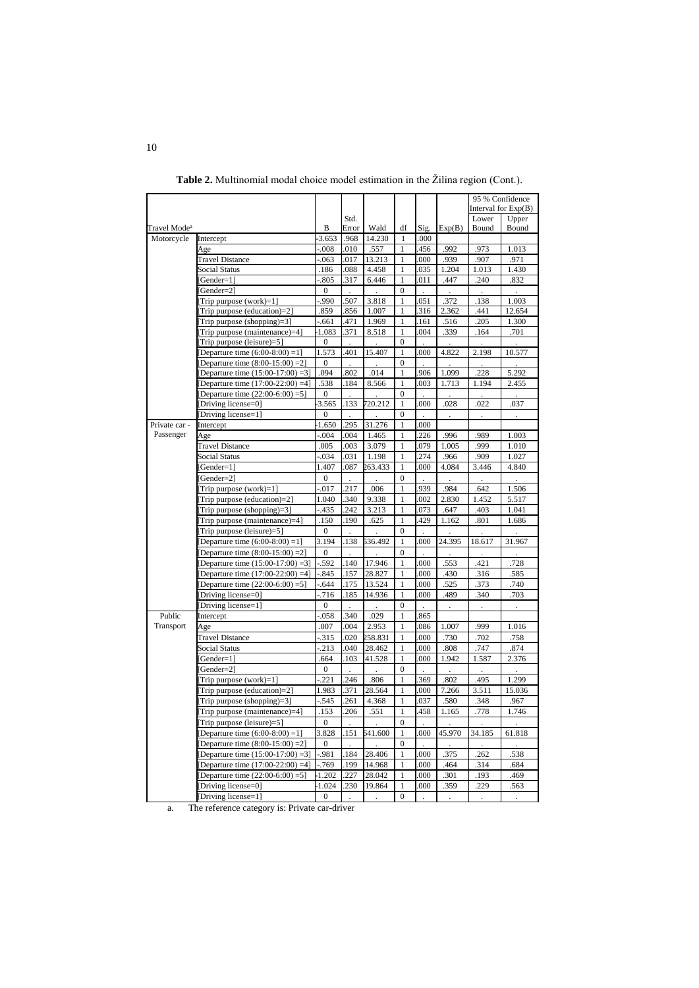|                          |                                                           |                      |            |                |                              |            |               | 95 % Confidence |                     |
|--------------------------|-----------------------------------------------------------|----------------------|------------|----------------|------------------------------|------------|---------------|-----------------|---------------------|
|                          |                                                           |                      |            |                |                              |            |               |                 | Interval for Exp(B) |
|                          |                                                           |                      | Std.       |                |                              |            |               | Lower           | Upper               |
| Travel Mode <sup>a</sup> |                                                           | B                    | Error      | Wald           | df                           | Sig.       | Exp(B)        | Bound           | Bound               |
| Motorcycle               | Intercept                                                 | 3.653                | .968       | 14.230         | 1                            | .000       |               |                 |                     |
|                          | Age                                                       | .008                 | 010        | .557           | $\mathbf{1}$                 | 456        | .992          | .973            | 1.013               |
|                          | <b>Travel Distance</b>                                    | .063                 | 017        | 13.213         | $\mathbf{1}$                 | 000        | .939          | .907            | .971                |
|                          | <b>Social Status</b>                                      | 186                  | 088        | 4.458          | $\mathbf{1}$                 | 035        | 1.204         | 1.013           | 1.430               |
| Gender=1]                |                                                           | .805                 | 317        | 6.446          | $\mathbf{1}$                 | 011        | .447          | 240             | .832                |
|                          | Gender=21                                                 | $\mathbf{0}$<br>.990 |            |                | $\boldsymbol{0}$             |            |               |                 |                     |
|                          | Trip purpose (work)=1]                                    | .859                 | 507<br>856 | 3.818          | $\mathbf{1}$<br>$\mathbf{1}$ | 051<br>316 | .372          | .138<br>441     | 1.003<br>12.654     |
|                          | Trip purpose (education)=2]<br>Trip purpose (shopping)=3] | .661                 | 471        | 1.007<br>1.969 | $\mathbf{1}$                 | 161        | 2.362<br>.516 | .205            | 1.300               |
|                          | Trip purpose (maintenance)=4]                             | 1.083                | 371        | 8.518          | $\mathbf{1}$                 | 004        | 339           | 164             | .701                |
|                          | Trip purpose (leisure)=5]                                 | $\mathbf{0}$         |            |                | $\mathbf{0}$                 |            |               |                 |                     |
|                          | Departure time $(6:00-8:00) = 1$                          | 1.573                | 401        | 15.407         | $\mathbf{1}$                 | 000        | 4.822         | 2.198           | 10.577              |
|                          | Departure time $(8:00-15:00) = 2$                         | $\theta$             |            |                | $\boldsymbol{0}$             |            |               |                 |                     |
|                          | Departure time $(15:00-17:00) = 3$                        | .094                 | 802        | .014           | $\mathbf{1}$                 | 906        | 1.099         | 228             | 5.292               |
|                          | Departure time (17:00-22:00) =4]                          | .538                 | 184        | 8.566          | $\,1$                        | 003        | 1.713         | 1.194           | 2.455               |
|                          | Departure time $(22:00-6:00) = 5$ ]                       | $\boldsymbol{0}$     |            |                | $\overline{0}$               |            |               |                 |                     |
|                          | Driving license=0]                                        | 3.565                | 133        | 720.212        | $\mathbf{1}$                 | 000        | .028          | .022            | .037                |
|                          | Driving license=1]                                        | $\mathbf{0}$         |            |                | $\mathbf{0}$                 |            |               |                 |                     |
| Private car -            | Intercept                                                 | 1.650                | 295        | 31.276         | $\mathbf{1}$                 | 000        |               |                 |                     |
| Passenger                | Age                                                       | .004                 | 004        | 1.465          | $\mathbf{1}$                 | 226        | .996          | .989            | 1.003               |
|                          | <b>Travel Distance</b>                                    | .005                 | 003        | 3.079          | $\mathbf{1}$                 | 079        | 1.005         | .999            | 1.010               |
|                          | <b>Social Status</b>                                      | .034                 | .031       | 1.198          | $\mathbf{1}$                 | 274        | .966          | .909            | 1.027               |
|                          | Gender=1]                                                 | 1.407                | .087       | 263.433        | $\mathbf{1}$                 | 000        | 4.084         | 3.446           | 4.840               |
|                          | Gender=21                                                 | $\boldsymbol{0}$     |            |                | $\boldsymbol{0}$             |            |               |                 |                     |
|                          | Trip purpose (work)=1]                                    | .017                 | 217        | .006           | $\mathbf{1}$                 | 939        | .984          | .642            | 1.506               |
|                          | Trip purpose (education)=2]                               | 1.040                | 340        | 9.338          | $\mathbf{1}$                 | 002        | 2.830         | 1.452           | 5.517               |
|                          | Trip purpose (shopping)=3]                                | .435                 | 242        | 3.213          | $\mathbf{1}$                 | 073        | .647          | 403             | 1.041               |
|                          | Trip purpose (maintenance)=4]                             | .150                 | 190        | .625           | $\,1$                        | 429        | 1.162         | .801            | 1.686               |
|                          | Trip purpose (leisure)=5]                                 | $\boldsymbol{0}$     |            |                | $\boldsymbol{0}$             |            |               |                 |                     |
|                          | Departure time $(6:00-8:00) = 1$                          | 3.194                | 138        | 536.492        | 1                            | 000        | 24.395        | 18.617          | 31.967              |
|                          | Departure time $(8:00-15:00) = 2$                         | $\boldsymbol{0}$     |            |                | $\boldsymbol{0}$             |            |               |                 |                     |
|                          | Departure time $(15:00-17:00) = 3$                        | $-592$               | 140        | 17.946         | $\,1$                        | 000        | .553          | .421            | .728                |
|                          | Departure time $(17:00-22:00) = 4$ ]                      | $-845$               | 157        | 28.827         | $\,1$                        | 000        | .430          | 316             | .585                |
|                          | [Departure time $(22:00-6:00) = 5$ ]                      | .644                 | 175        | 13.524         | $\mathbf{1}$                 | 000        | .525          | 373             | .740                |
|                          | Driving license=0]                                        | .716                 | 185        | 14.936         | $\mathbf{1}$                 | 000        | .489          | 340             | .703                |
|                          | Driving license=1]                                        | $\boldsymbol{0}$     |            |                | $\boldsymbol{0}$             |            | $\cdot$       |                 | $\cdot$             |
| Public                   | Intercept                                                 | .058                 | 340        | .029           | $\mathbf{1}$                 | 865        |               |                 |                     |
| Transport                | Age                                                       | .007                 | 004        | 2.953          | $\mathbf{1}$                 | 086        | 1.007         | .999            | 1.016               |
|                          | <b>Travel Distance</b>                                    | .315                 | .020       | 258.831        | $\mathbf{1}$                 | 000        | .730          | .702            | .758                |
|                          | <b>Social Status</b>                                      | .213                 | 040        | 28.462         | $\mathbf{1}$                 | 000        | .808          | .747            | .874                |
|                          | Gender=1]                                                 | .664                 | 103        | 41.528         | $\mathbf{1}$                 | 000        | 1.942         | 1.587           | 2.376               |
|                          | Gender=21                                                 | $\mathbf{0}$         |            |                | $\overline{0}$               |            |               |                 |                     |
|                          | Trip purpose (work)=1]                                    | .221                 | 246        | .806           | $\mathbf{1}$                 | 369        | .802          | 495             | 1.299               |
|                          | Trip purpose (education)=2]                               | 1.983                | 371        | 28.564         | $\mathbf{1}$                 | 000        | 7.266         | 3.511           | 15.036              |
|                          | Trip purpose (shopping)= $3$ ]                            | 545                  | 261        | 4.368          | $\mathbf{1}$                 | 037        | .580          | 348             | .967                |
|                          | Trip purpose (maintenance)=4]                             | .153                 | 206        | .551           | $\mathbf{1}$                 | 458        | 1.165         | .778            | 1.746               |
|                          | [Trip purpose (leisure)=5]                                | $\boldsymbol{0}$     |            |                | $\overline{0}$               |            |               |                 |                     |
|                          | Departure time $(6:00-8:00) = 1$                          | 3.828                | 151        | 641.600        | $\mathbf{1}$                 | 000        | 45.970        | 34.185          | 61.818              |
|                          | [Departure time $(8:00-15:00) = 2$ ]                      | $\boldsymbol{0}$     |            |                | $\boldsymbol{0}$             |            |               |                 |                     |
|                          | Departure time $(15:00-17:00) = 3$                        | .981                 | 184        | 28.406         | $\,1$                        | 000        | 375           | 262             | 538                 |
|                          | Departure time (17:00-22:00) =4]                          | .769                 | 199        | 14.968         | $\,1$                        | 000        | .464          | 314             | .684                |
|                          | Departure time $(22:00-6:00) = 5$                         | $-1.202$             | 227        | 28.042         | $\mathbf{1}$                 | 000        | .301          | .193            | .469                |
|                          | Driving license=0]                                        | $-1.024$             | 230        | 19.864         | $\mathbf{1}$                 | 000        | .359          | 229             | 563                 |
|                          | Driving license=1]                                        | $\boldsymbol{0}$     |            |                | $\boldsymbol{0}$             |            |               |                 |                     |
|                          |                                                           |                      |            |                |                              |            |               |                 |                     |

**Table 2.** Multinomial modal choice model estimation in the Žilina region (Cont.).

a. The reference category is: Private car-driver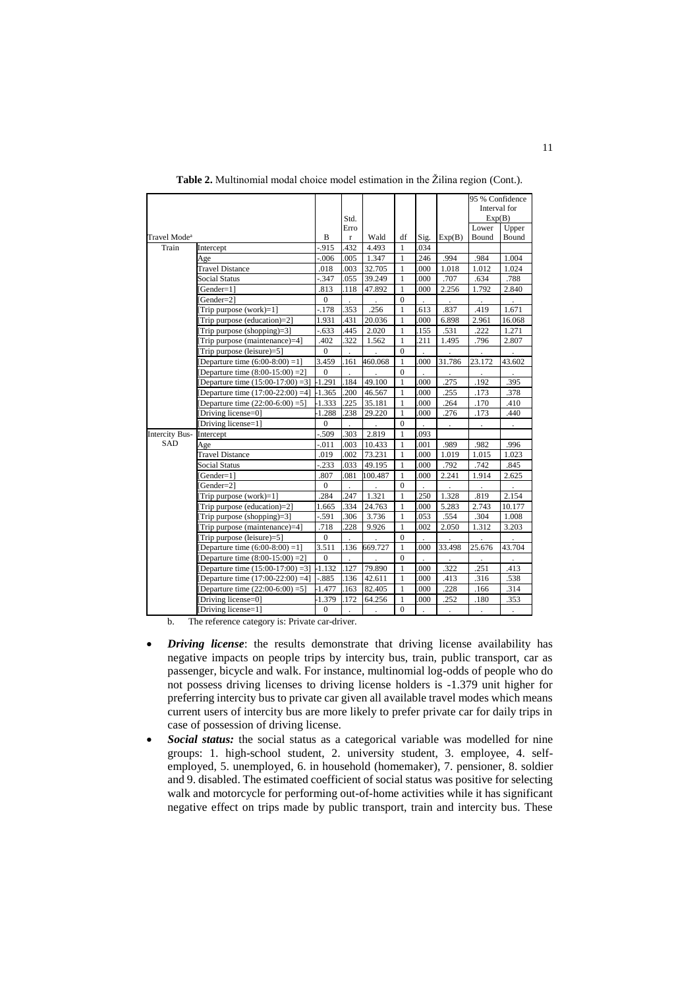|                                   |                                       |                  |                    |         |                    |              |                      | 95 % Confidence |        |
|-----------------------------------|---------------------------------------|------------------|--------------------|---------|--------------------|--------------|----------------------|-----------------|--------|
|                                   |                                       |                  |                    |         |                    |              |                      | Interval for    |        |
|                                   |                                       |                  | Std.               |         |                    |              |                      | Exp(B)          |        |
|                                   |                                       |                  | Erro               | Wald    |                    |              |                      | Lower           | Upper  |
| Travel Mode <sup>a</sup><br>Train |                                       | B<br>$-.915$     | $\mathbf r$<br>432 | 4.493   | df<br>$\mathbf{1}$ | Sig.<br>.034 | Exp(B)               | Bound           | Bound  |
|                                   | Intercept                             |                  | .005               | 1.347   | 1                  | 246          | .994                 | .984            | 1.004  |
|                                   | Age                                   | -.006            |                    |         | 1                  |              |                      |                 |        |
|                                   | <b>Travel Distance</b>                | .018             | .003               | 32.705  |                    | .000         | 1.018                | 1.012           | 1.024  |
|                                   | Social Status                         | $-.347$          | 055                | 39.249  | 1                  | .000         | .707                 | .634            | .788   |
|                                   | Gender=11                             | .813             | 118                | 47.892  | 1                  | .000         | 2.256                | 1.792           | 2.840  |
|                                   | Gender=21                             | $\overline{0}$   |                    |         | $\overline{0}$     |              |                      |                 |        |
|                                   | Trip purpose $(wordk)=1$ ]            | $-178$           | 353                | .256    | $\mathbf{1}$       | 613          | .837                 | .419            | 1.671  |
|                                   | Trip purpose (education)=2]           | 1.931            | 431                | 20.036  | 1                  | 000          | 6.898                | 2.961           | 16.068 |
|                                   | Trip purpose (shopping) $=3$ ]        | -.633            | 445                | 2.020   | 1                  | .155         | .531                 | .222            | 1.271  |
|                                   | Trip purpose (maintenance)=4]         | .402             | 322                | 1.562   | 1                  | 211          | 1.495                | .796            | 2.807  |
|                                   | Trip purpose (leisure)=5]             | $\Omega$         |                    |         | $\Omega$           |              |                      |                 |        |
|                                   | [Departure time $(6:00-8:00) = 1$ ]   | 3.459            | 161                | 460.068 | 1                  | .000         | 31.786               | 23.172          | 43.602 |
|                                   | Departure time $(8:00-15:00) = 2$     | $\mathbf{0}$     |                    |         | $\mathbf{0}$       |              |                      |                 |        |
|                                   | Departure time $(15:00-17:00) = 3$    | $-1.291$         | .184               | 49.100  | $\mathbf{1}$       | .000         | .275                 | .192            | .395   |
|                                   | [Departure time $(17:00-22:00) = 4$ ] | 1.365            | 200                | 46.567  | 1                  | .000         | .255                 | .173            | .378   |
|                                   | [Departure time $(22:00-6:00) = 5$ ]  | 1.333            | 225                | 35.181  | 1                  | .000         | .264                 | .170            | .410   |
|                                   | Driving license=0]                    | 1.288            | 238                | 29.220  | 1                  | .000         | .276                 | .173            | .440   |
|                                   | [Driving license=1]                   | $\boldsymbol{0}$ |                    |         | $\mathbf{0}$       |              |                      |                 |        |
| <b>Intercity Bus-</b>             | Intercept                             | -.509            | 303                | 2.819   | $\mathbf{1}$       | .093         |                      |                 |        |
| <b>SAD</b>                        | Age                                   | .011             | 003                | 10.433  | 1                  | 001          | .989                 | .982            | .996   |
|                                   | <b>Travel Distance</b>                | .019             | 002                | 73.231  | 1                  | .000         | 1.019                | 1.015           | 1.023  |
|                                   | Social Status                         | $-233$           | 033                | 49.195  | 1                  | .000         | .792                 | .742            | .845   |
|                                   | Gender=11                             | .807             | 081                | 100.487 | 1                  | .000         | 2.241                | 1.914           | 2.625  |
|                                   | Gender=21                             | $\overline{0}$   |                    |         | $\overline{0}$     |              |                      |                 |        |
|                                   | Trip purpose $(wordk)=1$ ]            | .284             | 247                | 1.321   | 1                  | .250         | 1.328                | .819            | 2.154  |
|                                   | Trip purpose (education)=2]           | 1.665            | 334                | 24.763  | 1                  | 000          | 5.283                | 2.743           | 10.177 |
|                                   | Trip purpose (shopping) $=3$ ]        | -.591            | 306                | 3.736   | 1                  | .053         | .554                 | .304            | 1.008  |
|                                   | Trip purpose (maintenance)=4]         | .718             | 228                | 9.926   | 1                  | .002         | 2.050                | 1.312           | 3.203  |
|                                   | Trip purpose (leisure)=5]             | $\overline{0}$   |                    |         | $\Omega$           |              |                      |                 |        |
|                                   | [Departure time $(6:00-8:00) = 1$ ]   | 3.511            | 136                | 669.727 | 1                  | .000         | 33.498               | 25.676          | 43.704 |
|                                   | Departure time $(8:00-15:00) = 2$     | $\Omega$         |                    |         | $\mathbf{0}$       |              |                      |                 |        |
|                                   | Departure time $(15:00-17:00) = 3$    | $-1.132$         | 127                | 79.890  | 1                  | .000         | .322                 | .251            | .413   |
|                                   | Departure time $(17:00-22:00) = 4$    | $-.885$          | 136                | 42.611  | 1                  | .000         | .413                 | .316            | .538   |
|                                   | Departure time $(22:00-6:00) = 5$     | 1.477            | 163                | 82.405  | 1                  | .000         | .228                 | .166            | .314   |
|                                   | Driving license=0]                    | 1.379            | .172               | 64.256  | $\mathbf{1}$       | .000         | .252                 | .180            | .353   |
|                                   | [Driving license=1]                   | $\overline{0}$   |                    |         | $\mathbf{0}$       |              | $\ddot{\phantom{0}}$ |                 |        |

**Table 2.** Multinomial modal choice model estimation in the Žilina region (Cont.).

b. The reference category is: Private car-driver.

- *Driving license*: the results demonstrate that driving license availability has negative impacts on people trips by intercity bus, train, public transport, car as passenger, bicycle and walk. For instance, multinomial log-odds of people who do not possess driving licenses to driving license holders is -1.379 unit higher for preferring intercity bus to private car given all available travel modes which means current users of intercity bus are more likely to prefer private car for daily trips in case of possession of driving license.
- *Social status:* the social status as a categorical variable was modelled for nine groups: 1. high-school student, 2. university student, 3. employee, 4. selfemployed, 5. unemployed, 6. in household (homemaker), 7. pensioner, 8. soldier and 9. disabled. The estimated coefficient of social status was positive for selecting walk and motorcycle for performing out-of-home activities while it has significant negative effect on trips made by public transport, train and intercity bus. These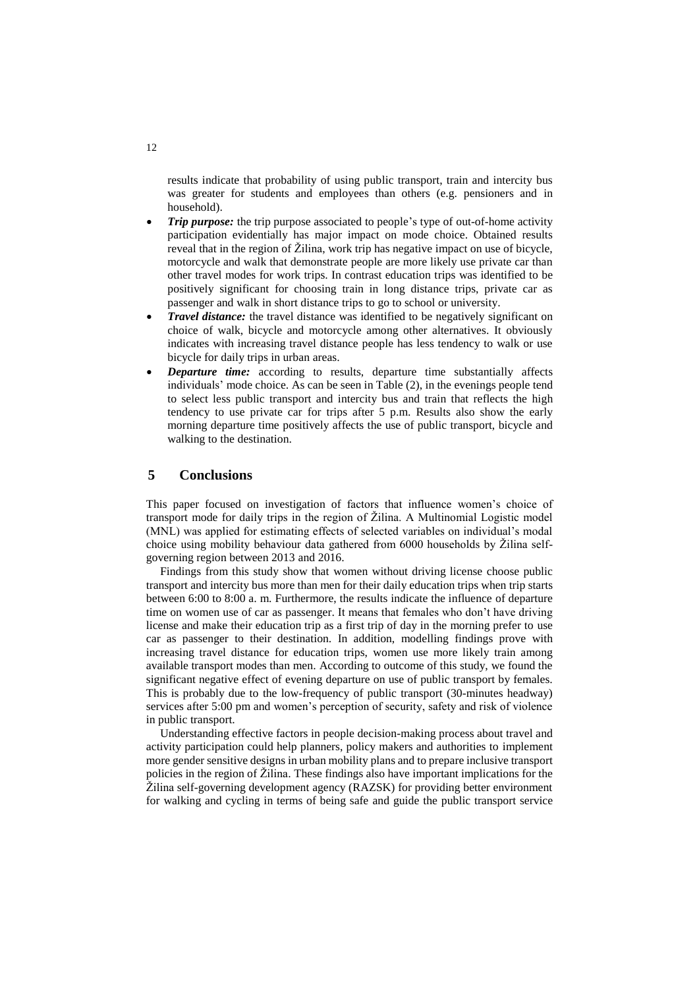results indicate that probability of using public transport, train and intercity bus was greater for students and employees than others (e.g. pensioners and in household).

- *Trip purpose:* the trip purpose associated to people's type of out-of-home activity participation evidentially has major impact on mode choice. Obtained results reveal that in the region of Žilina, work trip has negative impact on use of bicycle, motorcycle and walk that demonstrate people are more likely use private car than other travel modes for work trips. In contrast education trips was identified to be positively significant for choosing train in long distance trips, private car as passenger and walk in short distance trips to go to school or university.
- *Travel distance:* the travel distance was identified to be negatively significant on choice of walk, bicycle and motorcycle among other alternatives. It obviously indicates with increasing travel distance people has less tendency to walk or use bicycle for daily trips in urban areas.
- *Departure time:* according to results, departure time substantially affects individuals' mode choice. As can be seen in Table (2), in the evenings people tend to select less public transport and intercity bus and train that reflects the high tendency to use private car for trips after 5 p.m. Results also show the early morning departure time positively affects the use of public transport, bicycle and walking to the destination.

# **5 Conclusions**

This paper focused on investigation of factors that influence women's choice of transport mode for daily trips in the region of Žilina. A Multinomial Logistic model (MNL) was applied for estimating effects of selected variables on individual's modal choice using mobility behaviour data gathered from 6000 households by Žilina selfgoverning region between 2013 and 2016.

Findings from this study show that women without driving license choose public transport and intercity bus more than men for their daily education trips when trip starts between 6:00 to 8:00 a. m. Furthermore, the results indicate the influence of departure time on women use of car as passenger. It means that females who don't have driving license and make their education trip as a first trip of day in the morning prefer to use car as passenger to their destination. In addition, modelling findings prove with increasing travel distance for education trips, women use more likely train among available transport modes than men. According to outcome of this study, we found the significant negative effect of evening departure on use of public transport by females. This is probably due to the low-frequency of public transport (30-minutes headway) services after 5:00 pm and women's perception of security, safety and risk of violence in public transport.

Understanding effective factors in people decision-making process about travel and activity participation could help planners, policy makers and authorities to implement more gender sensitive designs in urban mobility plans and to prepare inclusive transport policies in the region of Žilina. These findings also have important implications for the Žilina self-governing development agency (RAZSK) for providing better environment for walking and cycling in terms of being safe and guide the public transport service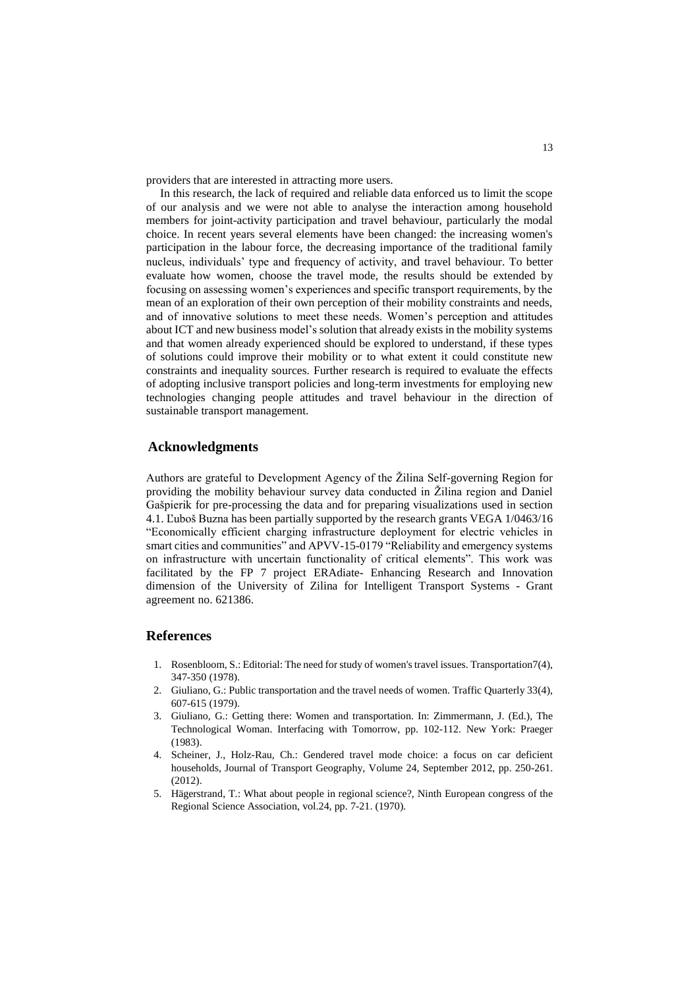providers that are interested in attracting more users.

In this research, the lack of required and reliable data enforced us to limit the scope of our analysis and we were not able to analyse the interaction among household members for joint-activity participation and travel behaviour, particularly the modal choice. In recent years several elements have been changed: the increasing women's participation in the labour force, the decreasing importance of the traditional family nucleus, individuals' type and frequency of activity, and travel behaviour. To better evaluate how women, choose the travel mode, the results should be extended by focusing on assessing women's experiences and specific transport requirements, by the mean of an exploration of their own perception of their mobility constraints and needs, and of innovative solutions to meet these needs. Women's perception and attitudes about ICT and new business model's solution that already exists in the mobility systems and that women already experienced should be explored to understand, if these types of solutions could improve their mobility or to what extent it could constitute new constraints and inequality sources. Further research is required to evaluate the effects of adopting inclusive transport policies and long-term investments for employing new technologies changing people attitudes and travel behaviour in the direction of sustainable transport management.

## **Acknowledgments**

Authors are grateful to Development Agency of the Žilina Self-governing Region for providing the mobility behaviour survey data conducted in Žilina region and Daniel Gašpierik for pre-processing the data and for preparing visualizations used in section 4.1. Ľuboš Buzna has been partially supported by the research grants VEGA 1/0463/16 "Economically efficient charging infrastructure deployment for electric vehicles in smart cities and communities" and APVV-15-0179 "Reliability and emergency systems on infrastructure with uncertain functionality of critical elements". This work was facilitated by the FP 7 project ERAdiate- Enhancing Research and Innovation dimension of the University of Zilina for Intelligent Transport Systems - Grant agreement no. 621386.

# **References**

- 1. Rosenbloom, S.: Editorial: The need for study of women's travel issues. Transportation7(4), 347-350 (1978).
- 2. Giuliano, G.: Public transportation and the travel needs of women. Traffic Quarterly 33(4), 607-615 (1979).
- 3. Giuliano, G.: Getting there: Women and transportation. In: Zimmermann, J. (Ed.), The Technological Woman. Interfacing with Tomorrow, pp. 102-112. New York: Praeger (1983).
- 4. Scheiner, J., Holz-Rau, Ch.: Gendered travel mode choice: a focus on car deficient households, Journal of Transport Geography, Volume 24, September 2012, pp. 250-261. (2012).
- 5. Hägerstrand, T.: What about people in regional science?, Ninth European congress of the Regional Science Association, vol.24, pp. 7-21. (1970).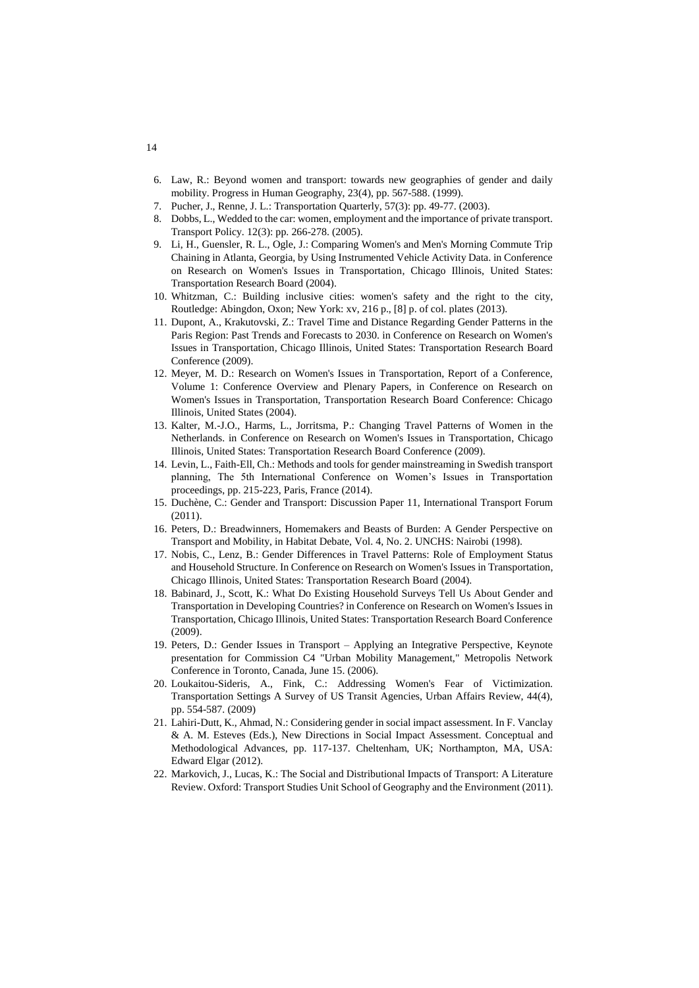- 6. Law, R.: Beyond women and transport: towards new geographies of gender and daily mobility. Progress in Human Geography, 23(4), pp. 567-588. (1999).
- 7. Pucher, J., Renne, J. L.: Transportation Quarterly, 57(3): pp. 49-77. (2003).
- 8. Dobbs, L., Wedded to the car: women, employment and the importance of private transport. Transport Policy. 12(3): pp. 266-278. (2005).
- 9. Li, H., Guensler, R. L., Ogle, J.: Comparing Women's and Men's Morning Commute Trip Chaining in Atlanta, Georgia, by Using Instrumented Vehicle Activity Data. in Conference on Research on Women's Issues in Transportation, Chicago Illinois, United States: Transportation Research Board (2004).
- 10. Whitzman, C.: Building inclusive cities: women's safety and the right to the city, Routledge: Abingdon, Oxon; New York: xv, 216 p., [8] p. of col. plates (2013).
- 11. Dupont, A., Krakutovski, Z.: Travel Time and Distance Regarding Gender Patterns in the Paris Region: Past Trends and Forecasts to 2030. in Conference on Research on Women's Issues in Transportation, Chicago Illinois, United States: Transportation Research Board Conference (2009).
- 12. Meyer, M. D.: Research on Women's Issues in Transportation, Report of a Conference, Volume 1: Conference Overview and Plenary Papers, in Conference on Research on Women's Issues in Transportation, Transportation Research Board Conference: Chicago Illinois, United States (2004).
- 13. Kalter, M.-J.O., Harms, L., Jorritsma, P.: Changing Travel Patterns of Women in the Netherlands. in Conference on Research on Women's Issues in Transportation, Chicago Illinois, United States: Transportation Research Board Conference (2009).
- 14. Levin, L., Faith-Ell, Ch.: Methods and tools for gender mainstreaming in Swedish transport planning, The 5th International Conference on Women's Issues in Transportation proceedings, pp. 215-223, Paris, France (2014).
- 15. Duchène, C.: Gender and Transport: Discussion Paper 11, International Transport Forum (2011).
- 16. Peters, D.: Breadwinners, Homemakers and Beasts of Burden: A Gender Perspective on Transport and Mobility, in Habitat Debate, Vol. 4, No. 2. UNCHS: Nairobi (1998).
- 17. Nobis, C., Lenz, B.: Gender Differences in Travel Patterns: Role of Employment Status and Household Structure. In Conference on Research on Women's Issues in Transportation, Chicago Illinois, United States: Transportation Research Board (2004).
- 18. Babinard, J., Scott, K.: What Do Existing Household Surveys Tell Us About Gender and Transportation in Developing Countries? in Conference on Research on Women's Issues in Transportation, Chicago Illinois, United States: Transportation Research Board Conference (2009).
- 19. Peters, D.: Gender Issues in Transport Applying an Integrative Perspective, Keynote presentation for Commission C4 "Urban Mobility Management," Metropolis Network Conference in Toronto, Canada, June 15. (2006).
- 20. Loukaitou-Sideris, A., Fink, C.: Addressing Women's Fear of Victimization. Transportation Settings A Survey of US Transit Agencies, Urban Affairs Review, 44(4), pp. 554-587. (2009)
- 21. Lahiri-Dutt, K., Ahmad, N.: Considering gender in social impact assessment. In F. Vanclay & A. M. Esteves (Eds.), New Directions in Social Impact Assessment. Conceptual and Methodological Advances, pp. 117-137. Cheltenham, UK; Northampton, MA, USA: Edward Elgar (2012).
- 22. Markovich, J., Lucas, K.: The Social and Distributional Impacts of Transport: A Literature Review. Oxford: Transport Studies Unit School of Geography and the Environment (2011).